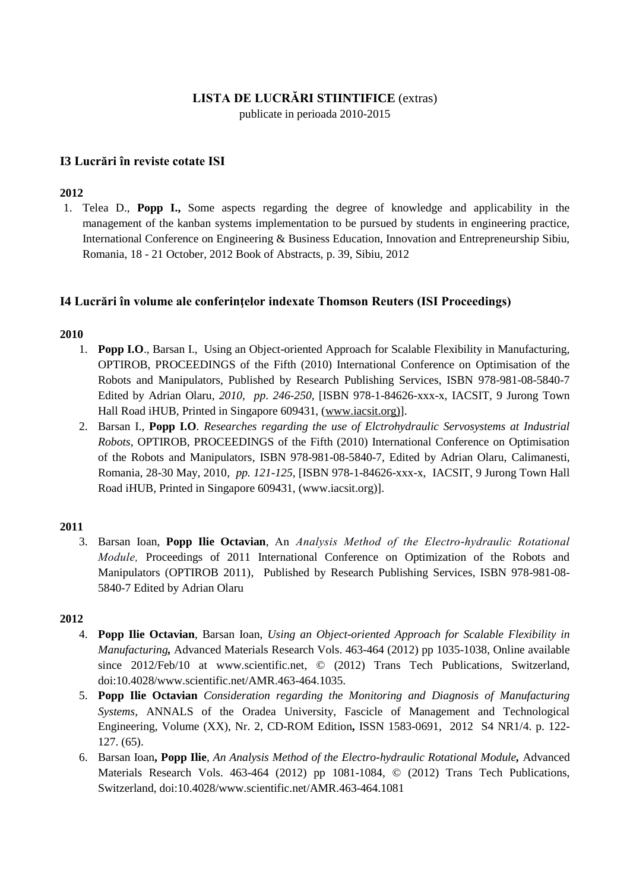#### **LISTA DE LUCRĂRI STIINTIFICE** (extras)

publicate in perioada 2010-2015

## **I3 Lucrări în reviste cotate ISI**

#### **2012**

1. Telea D., **Popp I.,** Some aspects regarding the degree of knowledge and applicability in the management of the kanban systems implementation to be pursued by students in engineering practice, International Conference on Engineering & Business Education, Innovation and Entrepreneurship Sibiu, Romania, 18 - 21 October, 2012 Book of Abstracts, p. 39, Sibiu, 2012

#### **I4 Lucrări în volume ale conferinţelor indexate Thomson Reuters (ISI Proceedings)**

#### **2010**

- 1. **Popp I.O**., Barsan I., Using an Object-oriented Approach for Scalable Flexibility in Manufacturing, OPTIROB, PROCEEDINGS of the Fifth (2010) International Conference on Optimisation of the Robots and Manipulators, Published by Research Publishing Services, ISBN 978-981-08-5840-7 Edited by Adrian Olaru, *2010*, *pp*. *246-250*, [ISBN 978-1-84626-xxx-x, IACSIT, 9 Jurong Town Hall Road iHUB, Printed in Singapore 609431, [\(www.iacsit.org\)\]](http://www.iacsit.org)/).
- 2. Barsan I., **Popp I.O***. Researches regarding the use of Elctrohydraulic Servosystems at Industrial Robots*, OPTIROB, PROCEEDINGS of the Fifth (2010) International Conference on Optimisation of the Robots and Manipulators*,* ISBN 978-981-08-5840-7, Edited by Adrian Olaru, Calimanesti, Romania, 28-30 May, 2010*, pp. 121-125,* [ISBN 978-1-84626-xxx-x, IACSIT, 9 Jurong Town Hall Road iHUB, Printed in Singapore 609431, [\(www.iacsit.org\)](http://www.iacsit.org/)].

#### **2011**

3. Barsan Ioan, **Popp Ilie Octavian**, An *Analysis Method of the Electro-hydraulic Rotational Module,* Proceedings of 2011 International Conference on Optimization of the Robots and Manipulators (OPTIROB 2011)*,* Published by Research Publishing Services, ISBN 978-981-08- 5840-7 Edited by Adrian Olaru

#### **2012**

- 4. **Popp Ilie Octavian**, Barsan Ioan, *Using an Object-oriented Approach for Scalable Flexibility in Manufacturing,* Advanced Materials Research Vols. 463-464 (2012) pp 1035-1038, Online available since 2012/Feb/10 at [www.scientific.net,](http://www.scientific.net/) © (2012) Trans Tech Publications, Switzerland, doi:10.4028/www.scientific.net/AMR.463-464.1035.
- 5. **Popp Ilie Octavian** *Consideration regarding the Monitoring and Diagnosis of Manufacturing Systems,* ANNALS of the Oradea University, Fascicle of Management and Technological Engineering, Volume (XX), Nr. 2, CD-ROM Edition**,** ISSN 1583-0691, 2012S4 NR1/4. p. 122- 127. (65).
- 6. Barsan Ioan**, Popp Ilie**, *An Analysis Method of the Electro-hydraulic Rotational Module,* Advanced Materials Research Vols. 463-464 (2012) pp 1081-1084, © (2012) Trans Tech Publications, Switzerland, doi:10.4028/www.scientific.net/AMR.463-464.1081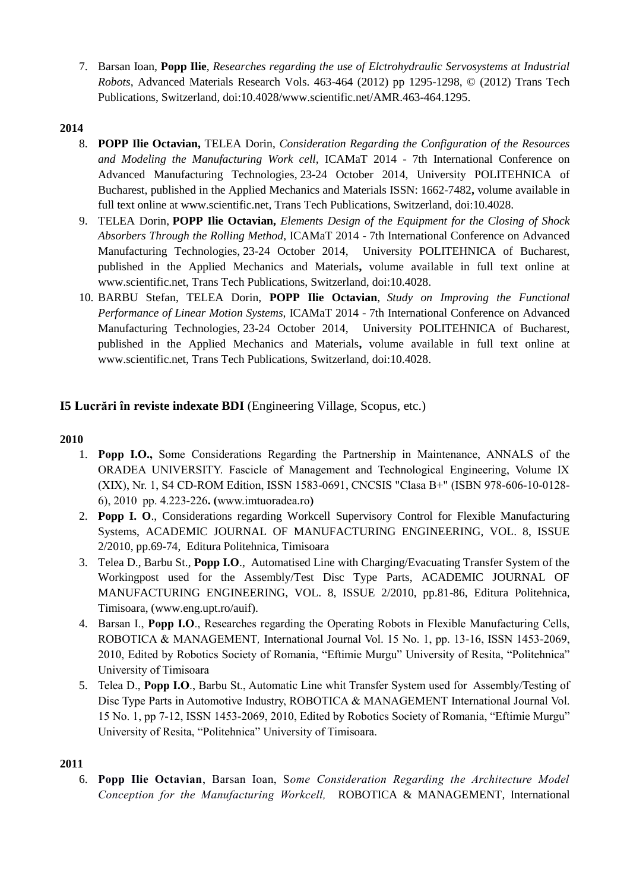7. Barsan Ioan, **Popp Ilie**, *Researches regarding the use of Elctrohydraulic Servosystems at Industrial Robots*, Advanced Materials Research Vols. 463-464 (2012) pp 1295-1298, © (2012) Trans Tech Publications, Switzerland, doi:10.4028/www.scientific.net/AMR.463-464.1295.

## **2014**

- 8. **POPP Ilie Octavian,** TELEA Dorin, *Consideration Regarding the Configuration of the Resources and Modeling the Manufacturing Work cell,* ICAMaT 2014 - 7th International Conference on Advanced Manufacturing Technologies, 23-24 October 2014, University POLITEHNICA of Bucharest, published in the Applied Mechanics and Materials ISSN: 1662-7482**,** volume available in full text online at [www.scientific.net,](http://www.scientific.net/) Trans Tech Publications, Switzerland, doi:10.4028.
- 9. TELEA Dorin, **POPP Ilie Octavian,** *Elements Design of the Equipment for the Closing of Shock Absorbers Through the Rolling Method,* ICAMaT 2014 - 7th International Conference on Advanced Manufacturing Technologies, 23-24 October 2014, University POLITEHNICA of Bucharest, published in the Applied Mechanics and Materials**,** volume available in full text online at [www.scientific.net,](http://www.scientific.net/) Trans Tech Publications, Switzerland, doi:10.4028.
- 10. BARBU Stefan, TELEA Dorin, **POPP Ilie Octavian**, *Study on Improving the Functional Performance of Linear Motion Systems,* ICAMaT 2014 - 7th International Conference on Advanced Manufacturing Technologies, 23-24 October 2014, University POLITEHNICA of Bucharest, published in the Applied Mechanics and Materials**,** volume available in full text online at [www.scientific.net,](http://www.scientific.net/) Trans Tech Publications, Switzerland, doi:10.4028.

# **I5 Lucrări în reviste indexate BDI** (Engineering Village, Scopus, etc.)

#### **2010**

- 1. **Popp I.O.,** Some Considerations Regarding the Partnership in Maintenance, ANNALS of the ORADEA UNIVERSITY. Fascicle of Management and Technological Engineering, Volume IX (XIX), Nr. 1, S4 CD-ROM Edition, ISSN 1583-0691, CNCSIS "Clasa B+" (ISBN 978-606-10-0128- 6), 2010 pp. 4.223-226**. (**[www.imtuoradea.ro](http://www.imtuoradea.ro/)**)**
- 2. **Popp I. O**., Considerations regarding Workcell Supervisory Control for Flexible Manufacturing Systems, ACADEMIC JOURNAL OF MANUFACTURING ENGINEERING, VOL. 8, ISSUE 2/2010, pp.69-74, Editura Politehnica, Timisoara
- 3. Telea D., Barbu St., **Popp I.O**., Automatised Line with Charging/Evacuating Transfer System of the Workingpost used for the Assembly/Test Disc Type Parts, ACADEMIC JOURNAL OF MANUFACTURING ENGINEERING, VOL. 8, ISSUE 2/2010, pp.81-86, Editura Politehnica, Timisoara, [\(www.eng.upt.ro/auif\)](http://www.eng.upt.ro/auif).
- 4. Barsan I., **Popp I.O**., Researches regarding the Operating Robots in Flexible Manufacturing Cells, ROBOTICA & MANAGEMENT*,* International Journal Vol. 15 No. 1, pp. 13-16, ISSN 1453-2069, 2010, Edited by Robotics Society of Romania, "Eftimie Murgu" University of Resita, "Politehnica" University of Timisoara
- 5. Telea D., **Popp I.O**., Barbu St., Automatic Line whit Transfer System used for Assembly/Testing of Disc Type Parts in Automotive Industry, ROBOTICA & MANAGEMENT International Journal Vol. 15 No. 1, pp 7-12, ISSN 1453-2069, 2010, Edited by Robotics Society of Romania, "Eftimie Murgu" University of Resita, "Politehnica" University of Timisoara.

#### **2011**

6. **Popp Ilie Octavian**, Barsan Ioan, S*ome Consideration Regarding the Architecture Model Conception for the Manufacturing Workcell,* ROBOTICA & MANAGEMENT*,* International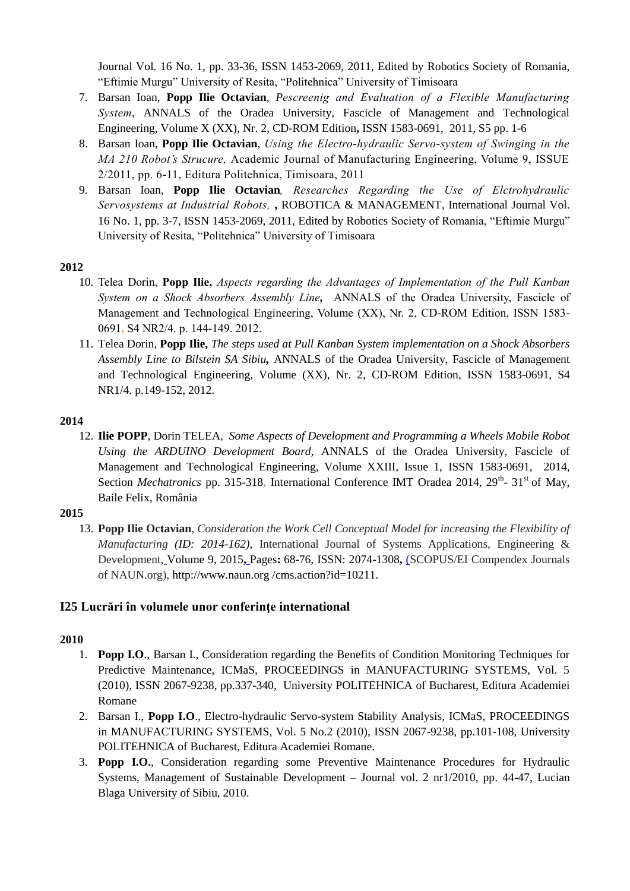Journal Vol. 16 No. 1, pp. 33-36, ISSN 1453-2069, 2011, Edited by Robotics Society of Romania, "Eftimie Murgu" University of Resita, "Politehnica" University of Timisoara

- 7. Barsan Ioan, **Popp Ilie Octavian**, *Pescreenig and Evaluation of a Flexible Manufacturing System*, ANNALS of the Oradea University, Fascicle of Management and Technological Engineering, Volume X (XX), Nr. 2, CD-ROM Edition**,** ISSN 1583-0691, 2011, S5 pp. 1-6
- 8. Barsan Ioan, **Popp Ilie Octavian**, *Using the Electro-hydraulic Servo-system of Swinging in the MA 210 Robot's Strucure,* Academic Journal of Manufacturing Engineering, Volume 9, ISSUE 2/2011, pp. 6-11, Editura Politehnica, Timisoara, 2011
- 9. Barsan Ioan, **Popp Ilie Octavian***, Researches Regarding the Use of Elctrohydraulic Servosystems at Industrial Robots,* **,** ROBOTICA & MANAGEMENT*,* International Journal Vol. 16 No. 1, pp. 3-7, ISSN 1453-2069, 2011, Edited by Robotics Society of Romania, "Eftimie Murgu" University of Resita, "Politehnica" University of Timisoara

#### **2012**

- 10. Telea Dorin, **Popp Ilie,** *Aspects regarding the Advantages of Implementation of the Pull Kanban System on a Shock Absorbers Assembly Line,* ANNALS of the Oradea University, Fascicle of Management and Technological Engineering, Volume (XX), Nr. 2, CD-ROM Edition, ISSN 1583- 0691**,** S4 NR2/4. p. 144-149. 2012.
- 11. Telea Dorin, **Popp Ilie,** *The steps used at Pull Kanban System implementation on a Shock Absorbers Assembly Line to Bilstein SA Sibiu,* ANNALS of the Oradea University, Fascicle of Management and Technological Engineering, Volume (XX), Nr. 2, CD-ROM Edition, ISSN 1583-0691, S4 NR1/4. p.149-152, 2012.

#### **2014**

12. **Ilie POPP**, Dorin TELEA, *Some Aspects of Development and Programming a Wheels Mobile Robot Using the ARDUINO Development Board,* ANNALS of the Oradea University, Fascicle of Management and Technological Engineering, Volume XXIII, Issue 1, ISSN 1583-0691, 2014, Section *Mechatronics* pp. 315-318, International Conference IMT Oradea 2014, 29<sup>th</sup>- 31<sup>st</sup> of May, Baile Felix, România

#### **2015**

13. **Popp Ilie Octavian**, *Consideration the Work Cell Conceptual Model for increasing the Flexibility of Manufacturing (ID: 2014-162)*, International Journal of Systems Applications, Engineering & Development, Volume 9, 2015**,** Pages**:** 68-76, ISSN: 2074-1308**,** (SCOPUS/EI Compendex Journals of NAUN.org), [http://www.naun.org](http://www.naun.org/) /cms.action?id=10211.

# **I25 Lucrări în volumele unor conferinţe international**

#### **2010**

- 1. **Popp I.O**., Barsan I., Consideration regarding the Benefits of Condition Monitoring Techniques for Predictive Maintenance, ICMaS, PROCEEDINGS in MANUFACTURING SYSTEMS, Vol. 5 (2010), ISSN 2067-9238, pp.337-340, University POLITEHNICA of Bucharest, Editura Academiei Romane
- 2. Barsan I., **Popp I.O**., Electro-hydraulic Servo-system Stability Analysis, ICMaS, PROCEEDINGS in MANUFACTURING SYSTEMS, Vol. 5 No.2 (2010), ISSN 2067-9238, pp.101-108, University POLITEHNICA of Bucharest, Editura Academiei Romane.
- 3. **Popp I.O.**, Consideration regarding some Preventive Maintenance Procedures for Hydraulic Systems, Management of Sustainable Development – Journal vol. 2 nr1/2010, pp. 44-47, Lucian Blaga University of Sibiu, 2010.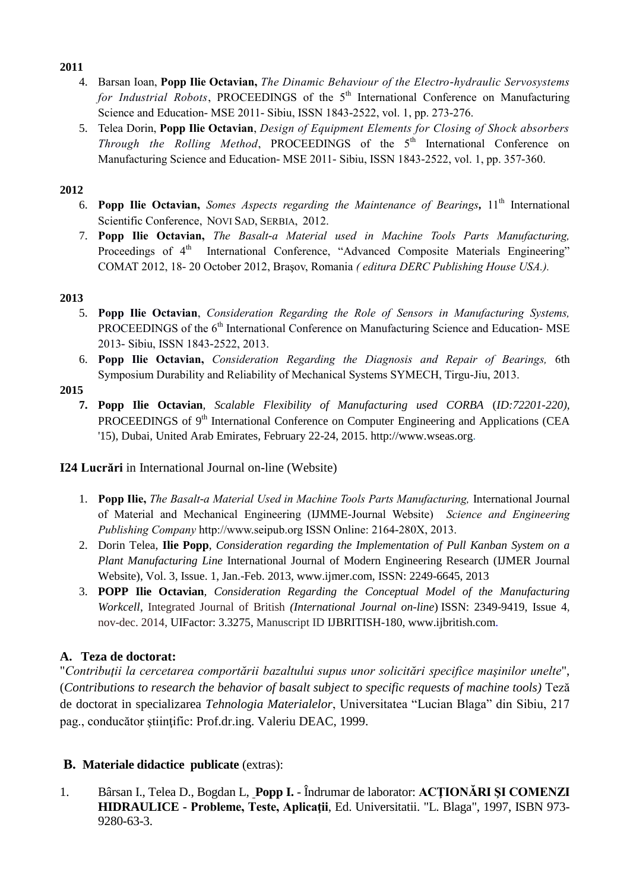#### **2011**

- 4. Barsan Ioan, **Popp Ilie Octavian,** *The Dinamic Behaviour of the Electro-hydraulic Servosystems for Industrial Robots*, PROCEEDINGS of the 5<sup>th</sup> International Conference on Manufacturing Science and Education- MSE 2011- Sibiu, ISSN 1843-2522, vol. 1, pp. 273-276.
- 5. Telea Dorin, **Popp Ilie Octavian**, *Design of Equipment Elements for Closing of Shock absorbers Through the Rolling Method*, PROCEEDINGS of the 5<sup>th</sup> International Conference on Manufacturing Science and Education- MSE 2011- Sibiu, ISSN 1843-2522, vol. 1, pp. 357-360.

## **2012**

- 6. **Popp Ilie Octavian,** *Somes Aspects regarding the Maintenance of Bearings,* 11th International Scientific Conference, NOVI SAD, SERBIA, 2012.
- 7. **Popp Ilie Octavian,** *The Basalt-a Material used in Machine Tools Parts Manufacturing,*  Proceedings of 4<sup>th</sup> International Conference, "Advanced Composite Materials Engineering" COMAT 2012, 18- 20 October 2012, Braşov, Romania *( editura DERC Publishing House USA.).*

# **2013**

- 5. **Popp Ilie Octavian**, *Consideration Regarding the Role of Sensors in Manufacturing Systems,*  PROCEEDINGS of the 6<sup>th</sup> International Conference on Manufacturing Science and Education- MSE 2013- Sibiu, ISSN 1843-2522, 2013.
- 6. **Popp Ilie Octavian,** *Consideration Regarding the Diagnosis and Repair of Bearings,* 6th Symposium Durability and Reliability of Mechanical Systems SYMECH, Tirgu-Jiu, 2013.
- **2015**
	- **7. Popp Ilie Octavian***, Scalable Flexibility of Manufacturing used CORBA* (*ID:72201-220),*  PROCEEDINGS of  $9<sup>th</sup>$  International Conference on Computer Engineering and Applications (CEA '15), Dubai, United Arab Emirates, February 22-24, 2015. http://www.wseas.org.

# **I24 Lucrări** in International Journal on-line (Website)

- 1. **Popp Ilie,** *The Basalt-a Material Used in Machine Tools Parts Manufacturing,* International Journal of Material and Mechanical Engineering (IJMME-Journal Website) *[Science and Engineering](http://www.seipub.org/)  [Publishing Company](http://www.seipub.org/)* http://www.seipub.org ISSN Online: 2164-280X, 2013.
- 2. Dorin Telea, **Ilie Popp**, *Consideration regarding the Implementation of Pull Kanban System on a Plant Manufacturing Line* International Journal of Modern Engineering Research (IJMER Journal Website), Vol. 3, Issue. 1, Jan.-Feb. 2013, [www.ijmer.com,](http://www.ijmer.com/) ISSN: 2249-6645, 2013
- 3. **POPP Ilie Octavian***, Consideration Regarding the Conceptual Model of the Manufacturing Workcell*, Integrated Journal of British *(International Journal on-line*) ISSN: 2349-9419, Issue 4, nov-dec. 2014, UIFactor: 3.3275, Manuscript ID IJBRITISH-180, [www.ijbritish.com.](http://www.ijbritish.com/)

# **A. Teza de doctorat:**

"*Contribuţii la cercetarea comportării bazaltului supus unor solicitări specifice maşinilor unelte*", (*Contributions to research the behavior of basalt subject to specific requests of machine tools)* Teză de doctorat in specializarea *Tehnologia Materialelor*, Universitatea "Lucian Blaga" din Sibiu, 217 pag., conducător ştiinţific: Prof.dr.ing. Valeriu DEAC, 1999.

# **B. Materiale didactice publicate** (extras):

1. Bârsan I., Telea D., Bogdan L, **Popp I.** - Îndrumar de laborator: **ACŢIONĂRI ŞI COMENZI HIDRAULICE - Probleme, Teste, Aplicaţii**, Ed. Universitatii. "L. Blaga", 1997, ISBN 973- 9280-63-3.